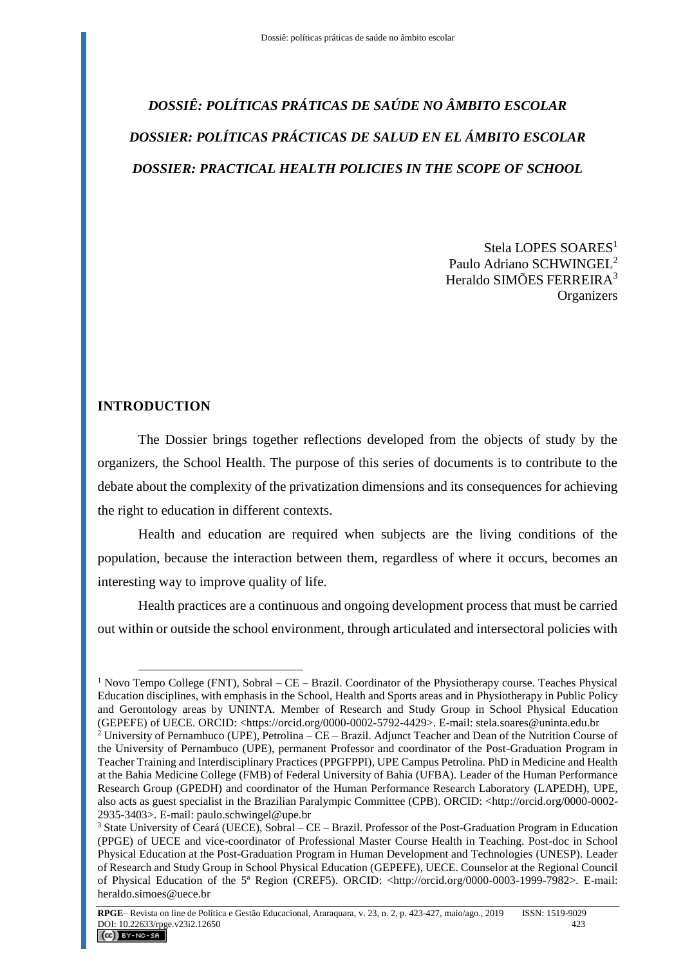## *DOSSIÊ: POLÍTICAS PRÁTICAS DE SAÚDE NO ÂMBITO ESCOLAR DOSSIER: POLÍTICAS PRÁCTICAS DE SALUD EN EL ÁMBITO ESCOLAR DOSSIER: PRACTICAL HEALTH POLICIES IN THE SCOPE OF SCHOOL*

Stela LOPES SOARES<sup>1</sup> Paulo Adriano SCHWINGEL<sup>2</sup> Heraldo SIMÕES FERREIRA<sup>3</sup> **Organizers** 

## **INTRODUCTION**

 $\overline{a}$ 

The Dossier brings together reflections developed from the objects of study by the organizers, the School Health. The purpose of this series of documents is to contribute to the debate about the complexity of the privatization dimensions and its consequences for achieving the right to education in different contexts.

Health and education are required when subjects are the living conditions of the population, because the interaction between them, regardless of where it occurs, becomes an interesting way to improve quality of life.

Health practices are a continuous and ongoing development process that must be carried out within or outside the school environment, through articulated and intersectoral policies with

<sup>&</sup>lt;sup>1</sup> Novo Tempo College (FNT), Sobral – CE – Brazil. Coordinator of the Physiotherapy course. Teaches Physical Education disciplines, with emphasis in the School, Health and Sports areas and in Physiotherapy in Public Policy and Gerontology areas by UNINTA. Member of Research and Study Group in School Physical Education (GEPEFE) of UECE. ORCID: <https://orcid.org/0000-0002-5792-4429>. E-mail: [stela.soares@uninta.edu.br](mailto:stela.soares@uninta.edu.br) <sup>2</sup> University of Pernambuco (UPE), Petrolina – CE – Brazil. Adjunct Teacher and Dean of the Nutrition Course of the University of Pernambuco (UPE), permanent Professor and coordinator of the Post-Graduation Program in Teacher Training and Interdisciplinary Practices (PPGFPPI), UPE Campus Petrolina. PhD in Medicine and Health at the Bahia Medicine College (FMB) of Federal University of Bahia (UFBA). Leader of the Human Performance Research Group (GPEDH) and coordinator of the Human Performance Research Laboratory (LAPEDH), UPE, also acts as guest specialist in the Brazilian Paralympic Committee (CPB). ORCID: <http://orcid.org/0000-0002- 2935-3403>. E-mail: [paulo.schwingel@upe.br](mailto:paulo.schwingel@upe.br)

<sup>&</sup>lt;sup>3</sup> State University of Ceará (UECE), Sobral – CE – Brazil. Professor of the Post-Graduation Program in Education (PPGE) of UECE and vice-coordinator of Professional Master Course Health in Teaching. Post-doc in School Physical Education at the Post-Graduation Program in Human Development and Technologies (UNESP). Leader of Research and Study Group in School Physical Education (GEPEFE), UECE. Counselor at the Regional Council of Physical Education of the 5ª Region (CREF5). ORCID: <http://orcid.org/0000-0003-1999-7982>. E-mail: heraldo.simoes@uece.br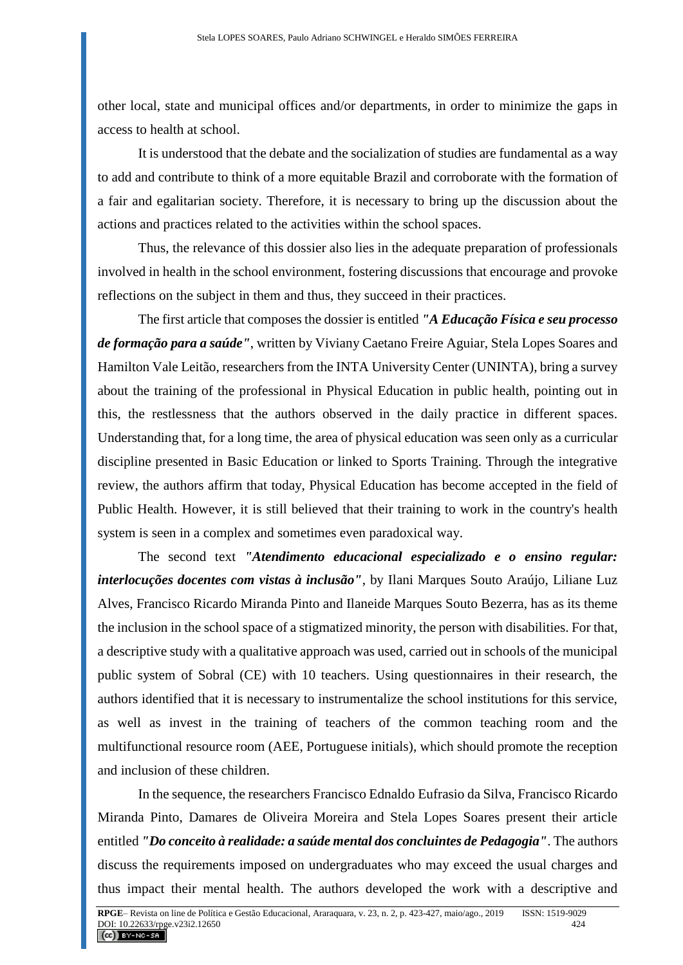other local, state and municipal offices and/or departments, in order to minimize the gaps in access to health at school.

It is understood that the debate and the socialization of studies are fundamental as a way to add and contribute to think of a more equitable Brazil and corroborate with the formation of a fair and egalitarian society. Therefore, it is necessary to bring up the discussion about the actions and practices related to the activities within the school spaces.

Thus, the relevance of this dossier also lies in the adequate preparation of professionals involved in health in the school environment, fostering discussions that encourage and provoke reflections on the subject in them and thus, they succeed in their practices.

The first article that composes the dossier is entitled *"A Educação Física e seu processo de formação para a saúde"*, written by Viviany Caetano Freire Aguiar, Stela Lopes Soares and Hamilton Vale Leitão, researchers from the INTA University Center (UNINTA), bring a survey about the training of the professional in Physical Education in public health, pointing out in this, the restlessness that the authors observed in the daily practice in different spaces. Understanding that, for a long time, the area of physical education was seen only as a curricular discipline presented in Basic Education or linked to Sports Training. Through the integrative review, the authors affirm that today, Physical Education has become accepted in the field of Public Health. However, it is still believed that their training to work in the country's health system is seen in a complex and sometimes even paradoxical way.

The second text *"Atendimento educacional especializado e o ensino regular: interlocuções docentes com vistas à inclusão"*, by Ilani Marques Souto Araújo, Liliane Luz Alves, Francisco Ricardo Miranda Pinto and Ilaneide Marques Souto Bezerra, has as its theme the inclusion in the school space of a stigmatized minority, the person with disabilities. For that, a descriptive study with a qualitative approach was used, carried out in schools of the municipal public system of Sobral (CE) with 10 teachers. Using questionnaires in their research, the authors identified that it is necessary to instrumentalize the school institutions for this service, as well as invest in the training of teachers of the common teaching room and the multifunctional resource room (AEE, Portuguese initials), which should promote the reception and inclusion of these children.

In the sequence, the researchers Francisco Ednaldo Eufrasio da Silva, Francisco Ricardo Miranda Pinto, Damares de Oliveira Moreira and Stela Lopes Soares present their article entitled *"Do conceito à realidade: a saúde mental dos concluintes de Pedagogia"*. The authors discuss the requirements imposed on undergraduates who may exceed the usual charges and thus impact their mental health. The authors developed the work with a descriptive and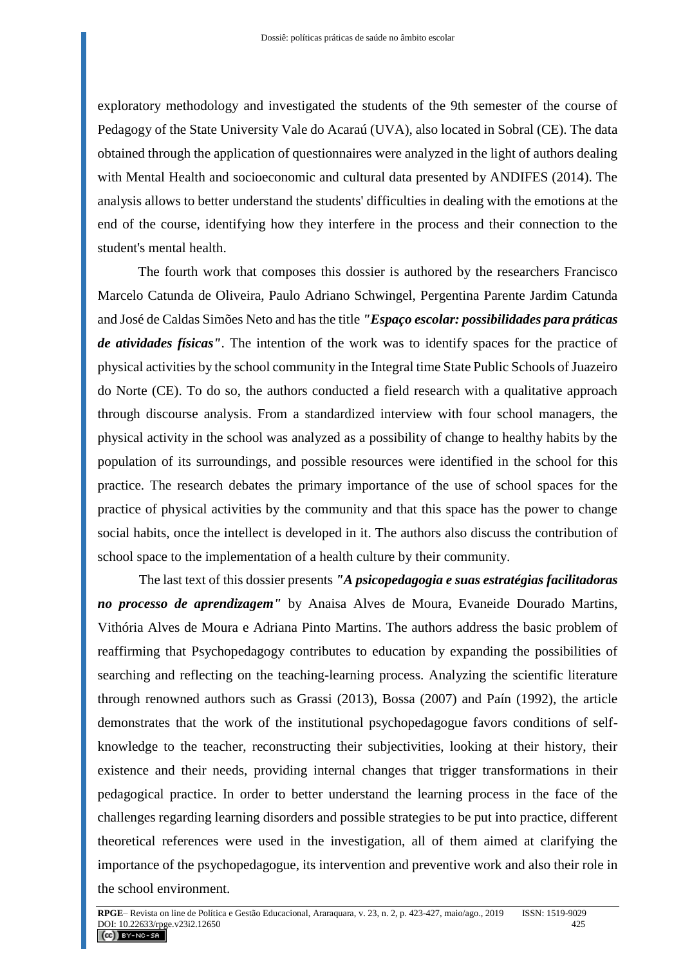exploratory methodology and investigated the students of the 9th semester of the course of Pedagogy of the State University Vale do Acaraú (UVA), also located in Sobral (CE). The data obtained through the application of questionnaires were analyzed in the light of authors dealing with Mental Health and socioeconomic and cultural data presented by ANDIFES (2014). The analysis allows to better understand the students' difficulties in dealing with the emotions at the end of the course, identifying how they interfere in the process and their connection to the student's mental health.

The fourth work that composes this dossier is authored by the researchers Francisco Marcelo Catunda de Oliveira, Paulo Adriano Schwingel, Pergentina Parente Jardim Catunda and José de Caldas Simões Neto and has the title *"Espaço escolar: possibilidades para práticas de atividades físicas"*. The intention of the work was to identify spaces for the practice of physical activities by the school community in the Integral time State Public Schools of Juazeiro do Norte (CE). To do so, the authors conducted a field research with a qualitative approach through discourse analysis. From a standardized interview with four school managers, the physical activity in the school was analyzed as a possibility of change to healthy habits by the population of its surroundings, and possible resources were identified in the school for this practice. The research debates the primary importance of the use of school spaces for the practice of physical activities by the community and that this space has the power to change social habits, once the intellect is developed in it. The authors also discuss the contribution of school space to the implementation of a health culture by their community.

The last text of this dossier presents *"A psicopedagogia e suas estratégias facilitadoras no processo de aprendizagem"* by Anaisa Alves de Moura, Evaneide Dourado Martins, Vithória Alves de Moura e Adriana Pinto Martins. The authors address the basic problem of reaffirming that Psychopedagogy contributes to education by expanding the possibilities of searching and reflecting on the teaching-learning process. Analyzing the scientific literature through renowned authors such as Grassi (2013), Bossa (2007) and Paín (1992), the article demonstrates that the work of the institutional psychopedagogue favors conditions of selfknowledge to the teacher, reconstructing their subjectivities, looking at their history, their existence and their needs, providing internal changes that trigger transformations in their pedagogical practice. In order to better understand the learning process in the face of the challenges regarding learning disorders and possible strategies to be put into practice, different theoretical references were used in the investigation, all of them aimed at clarifying the importance of the psychopedagogue, its intervention and preventive work and also their role in the school environment.